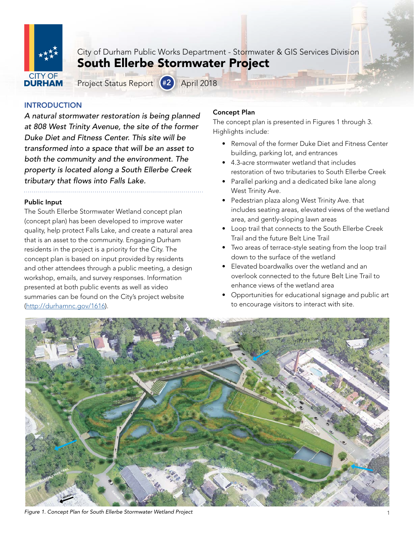

City of Durham Public Works Department - Stormwater & GIS Services Division South Ellerbe Stormwater Project

Project Status Report (#2) April 2018

# INTRODUCTION

*A natural stormwater restoration is being planned at 808 West Trinity Avenue, the site of the former Duke Diet and Fitness Center. This site will be transformed into a space that will be an asset to both the community and the environment. The property is located along a South Ellerbe Creek tributary that flows into Falls Lake.* 

## Public Input

summaries can be found on the City's project website **1996** Pupportunities for educational signage and public art (<http://durhamnc.gov/1616>). The South Ellerbe Stormwater Wetland concept plan (concept plan) has been developed to improve water quality, help protect Falls Lake, and create a natural area that is an asset to the community. Engaging Durham residents in the project is a priority for the City. The concept plan is based on input provided by residents and other attendees through a public meeting, a design workshop, emails, and survey responses. Information presented at both public events as well as video

## Concept Plan

The concept plan is presented in Figures 1 through 3. Highlights include:

- Removal of the former Duke Diet and Fitness Center building, parking lot, and entrances
- 4.3-acre stormwater wetland that includes restoration of two tributaries to South Ellerbe Creek
- Parallel parking and a dedicated bike lane along West Trinity Ave.
- Pedestrian plaza along West Trinity Ave. that includes seating areas, elevated views of the wetland area, and gently-sloping lawn areas
- Loop trail that connects to the South Ellerbe Creek Trail and the future Belt Line Trail
- Two areas of terrace-style seating from the loop trail down to the surface of the wetland
- Elevated boardwalks over the wetland and an overlook connected to the future Belt Line Trail to enhance views of the wetland area
- Opportunities for educational signage and public art to encourage visitors to interact with site.



Figure 1. Concept Plan for South Ellerbe Stormwater Wetland Project